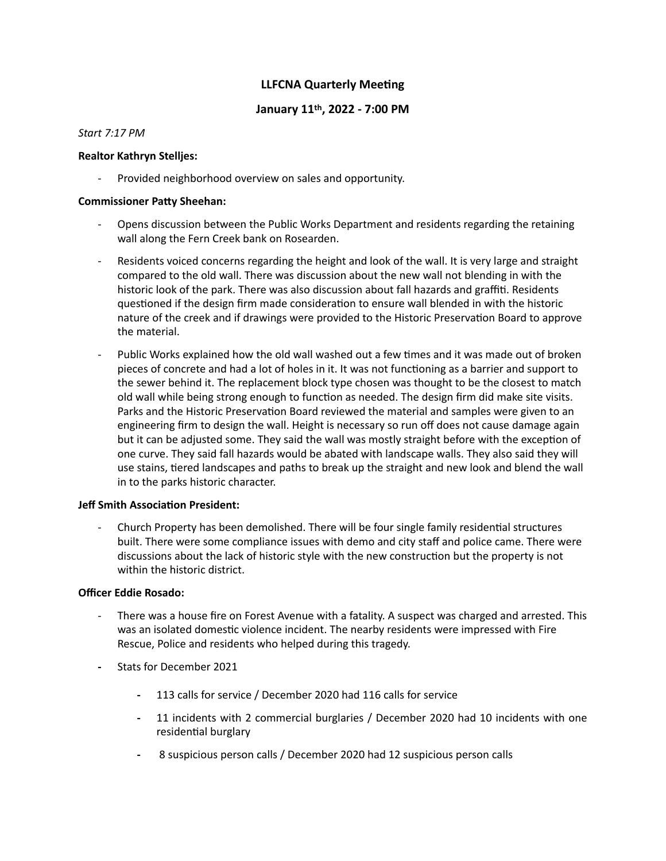# **LLFCNA Quarterly Meeting**

## **January 11th, 2022 - 7:00 PM**

## *Start 7:17 PM*

## **Realtor Kathryn Stelljes:**

Provided neighborhood overview on sales and opportunity.

## **Commissioner Patty Sheehan:**

- Opens discussion between the Public Works Department and residents regarding the retaining wall along the Fern Creek bank on Rosearden.
- Residents voiced concerns regarding the height and look of the wall. It is very large and straight compared to the old wall. There was discussion about the new wall not blending in with the historic look of the park. There was also discussion about fall hazards and graffiti. Residents questioned if the design firm made consideration to ensure wall blended in with the historic nature of the creek and if drawings were provided to the Historic Preservation Board to approve the material.
- Public Works explained how the old wall washed out a few times and it was made out of broken pieces of concrete and had a lot of holes in it. It was not functioning as a barrier and support to the sewer behind it. The replacement block type chosen was thought to be the closest to match old wall while being strong enough to function as needed. The design firm did make site visits. Parks and the Historic Preservation Board reviewed the material and samples were given to an engineering firm to design the wall. Height is necessary so run off does not cause damage again but it can be adjusted some. They said the wall was mostly straight before with the exception of one curve. They said fall hazards would be abated with landscape walls. They also said they will use stains, tiered landscapes and paths to break up the straight and new look and blend the wall in to the parks historic character.

#### **Jeff Smith Association President:**

- Church Property has been demolished. There will be four single family residential structures built. There were some compliance issues with demo and city staff and police came. There were discussions about the lack of historic style with the new construction but the property is not within the historic district.

## **Officer Eddie Rosado:**

- There was a house fire on Forest Avenue with a fatality. A suspect was charged and arrested. This was an isolated domestic violence incident. The nearby residents were impressed with Fire Rescue, Police and residents who helped during this tragedy.
- **-** Stats for December 2021
	- **-** 113 calls for service / December 2020 had 116 calls for service
	- **-** 11 incidents with 2 commercial burglaries / December 2020 had 10 incidents with one residential burglary
	- **-** 8 suspicious person calls / December 2020 had 12 suspicious person calls